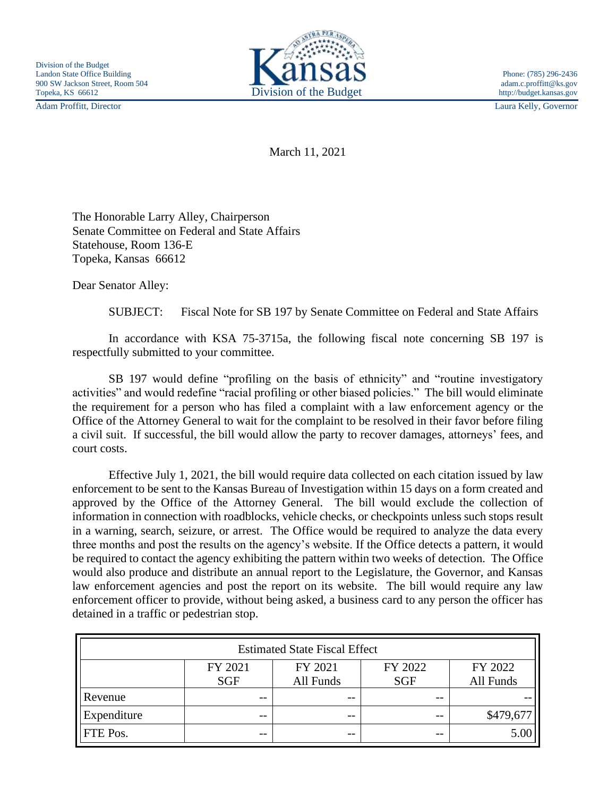Adam Proffitt, Director Laura Kelly, Governor



March 11, 2021

The Honorable Larry Alley, Chairperson Senate Committee on Federal and State Affairs Statehouse, Room 136-E Topeka, Kansas 66612

Dear Senator Alley:

SUBJECT: Fiscal Note for SB 197 by Senate Committee on Federal and State Affairs

In accordance with KSA 75-3715a, the following fiscal note concerning SB 197 is respectfully submitted to your committee.

SB 197 would define "profiling on the basis of ethnicity" and "routine investigatory activities" and would redefine "racial profiling or other biased policies." The bill would eliminate the requirement for a person who has filed a complaint with a law enforcement agency or the Office of the Attorney General to wait for the complaint to be resolved in their favor before filing a civil suit. If successful, the bill would allow the party to recover damages, attorneys' fees, and court costs.

Effective July 1, 2021, the bill would require data collected on each citation issued by law enforcement to be sent to the Kansas Bureau of Investigation within 15 days on a form created and approved by the Office of the Attorney General. The bill would exclude the collection of information in connection with roadblocks, vehicle checks, or checkpoints unless such stops result in a warning, search, seizure, or arrest. The Office would be required to analyze the data every three months and post the results on the agency's website. If the Office detects a pattern, it would be required to contact the agency exhibiting the pattern within two weeks of detection. The Office would also produce and distribute an annual report to the Legislature, the Governor, and Kansas law enforcement agencies and post the report on its website. The bill would require any law enforcement officer to provide, without being asked, a business card to any person the officer has detained in a traffic or pedestrian stop.

| <b>Estimated State Fiscal Effect</b> |                       |                      |                       |                      |
|--------------------------------------|-----------------------|----------------------|-----------------------|----------------------|
|                                      | FY 2021<br><b>SGF</b> | FY 2021<br>All Funds | FY 2022<br><b>SGF</b> | FY 2022<br>All Funds |
| Revenue                              | --                    | $- -$                | $- -$                 |                      |
| Expenditure                          | --                    | $ -$                 | --                    | \$479,677            |
| FTE Pos.                             | --                    | $ -$                 | $ -$                  | 5.00                 |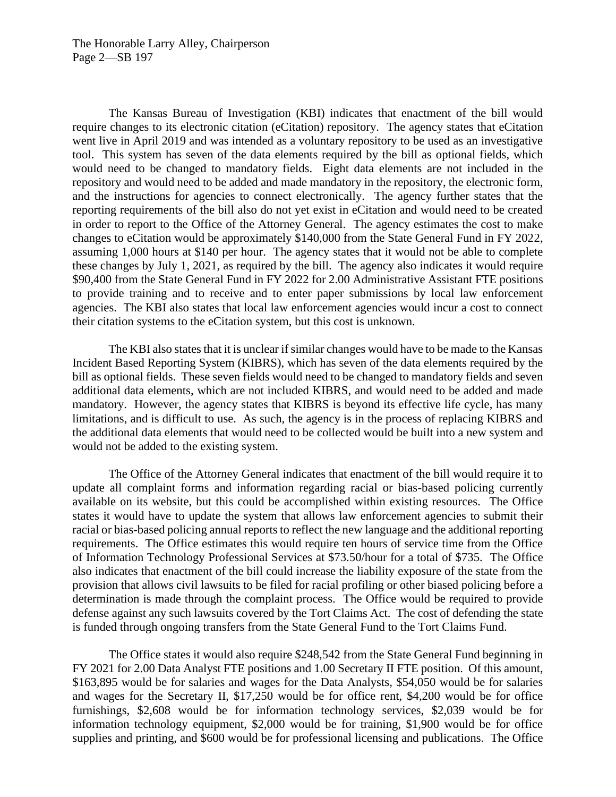The Kansas Bureau of Investigation (KBI) indicates that enactment of the bill would require changes to its electronic citation (eCitation) repository. The agency states that eCitation went live in April 2019 and was intended as a voluntary repository to be used as an investigative tool. This system has seven of the data elements required by the bill as optional fields, which would need to be changed to mandatory fields. Eight data elements are not included in the repository and would need to be added and made mandatory in the repository, the electronic form, and the instructions for agencies to connect electronically. The agency further states that the reporting requirements of the bill also do not yet exist in eCitation and would need to be created in order to report to the Office of the Attorney General. The agency estimates the cost to make changes to eCitation would be approximately \$140,000 from the State General Fund in FY 2022, assuming 1,000 hours at \$140 per hour. The agency states that it would not be able to complete these changes by July 1, 2021, as required by the bill. The agency also indicates it would require \$90,400 from the State General Fund in FY 2022 for 2.00 Administrative Assistant FTE positions to provide training and to receive and to enter paper submissions by local law enforcement agencies. The KBI also states that local law enforcement agencies would incur a cost to connect their citation systems to the eCitation system, but this cost is unknown.

The KBI also states that it is unclear if similar changes would have to be made to the Kansas Incident Based Reporting System (KIBRS), which has seven of the data elements required by the bill as optional fields. These seven fields would need to be changed to mandatory fields and seven additional data elements, which are not included KIBRS, and would need to be added and made mandatory. However, the agency states that KIBRS is beyond its effective life cycle, has many limitations, and is difficult to use. As such, the agency is in the process of replacing KIBRS and the additional data elements that would need to be collected would be built into a new system and would not be added to the existing system.

The Office of the Attorney General indicates that enactment of the bill would require it to update all complaint forms and information regarding racial or bias-based policing currently available on its website, but this could be accomplished within existing resources. The Office states it would have to update the system that allows law enforcement agencies to submit their racial or bias-based policing annual reports to reflect the new language and the additional reporting requirements. The Office estimates this would require ten hours of service time from the Office of Information Technology Professional Services at \$73.50/hour for a total of \$735. The Office also indicates that enactment of the bill could increase the liability exposure of the state from the provision that allows civil lawsuits to be filed for racial profiling or other biased policing before a determination is made through the complaint process. The Office would be required to provide defense against any such lawsuits covered by the Tort Claims Act. The cost of defending the state is funded through ongoing transfers from the State General Fund to the Tort Claims Fund.

The Office states it would also require \$248,542 from the State General Fund beginning in FY 2021 for 2.00 Data Analyst FTE positions and 1.00 Secretary II FTE position. Of this amount, \$163,895 would be for salaries and wages for the Data Analysts, \$54,050 would be for salaries and wages for the Secretary II, \$17,250 would be for office rent, \$4,200 would be for office furnishings, \$2,608 would be for information technology services, \$2,039 would be for information technology equipment, \$2,000 would be for training, \$1,900 would be for office supplies and printing, and \$600 would be for professional licensing and publications. The Office